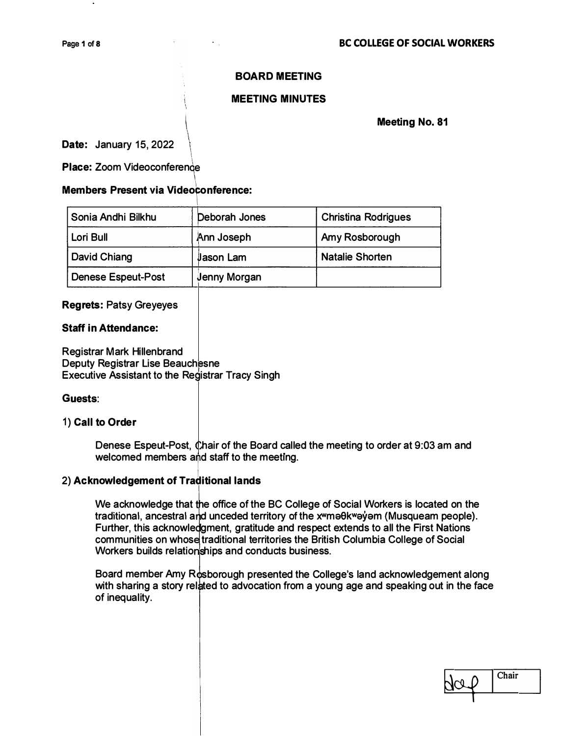## **BOARD MEETING**

### **MEETING MINUTES**

**Date:** January 15, 2022  $\bigg\{$ 

**Place: Zoom Videoconference** 

#### **Members Present via Videoconference:**

| Sonia Andhi Bilkhu        | Deborah Jones       | <b>Christina Rodrigues</b> |
|---------------------------|---------------------|----------------------------|
| Lori Bull                 | Ann Joseph          | Amy Rosborough             |
| David Chiang              | <b>Jason Lam</b>    | <b>Natalie Shorten</b>     |
| <b>Denese Espeut-Post</b> | <b>Jenny Morgan</b> |                            |

## **egrets: Patsy Greyeyes R**

# **Staff in Attendance:**

**R egistrar Mark Hillenbrand D eputy Registrar Lise Beauch esne**  Executive Assistant to the Registrar Tracy Singh

#### Guests:

#### 1 **) Call to Order**

Denese Espeut-Post, Chair of the Board called the meeting to order at 9:03 am and welcomed members and staff to the meeting.

#### **2) Acknowledgement of Traditional lands**

We acknowledge that the office of the BC College of Social Workers is located on the traditional, ancestral and unceded territory of the xwma0kwayam (Musqueam people). Further, this acknowledgment, gratitude and respect extends to all the First Nations communities on whose traditional territories the British Columbia College of Social Workers builds relationships and conducts business.

Board member Amy Rosborough presented the College's land acknowledgement along with sharing a story related to advocation from a young age and speaking out in the face **of inequality.** 

 $\sqrt{\log 0}$  Chair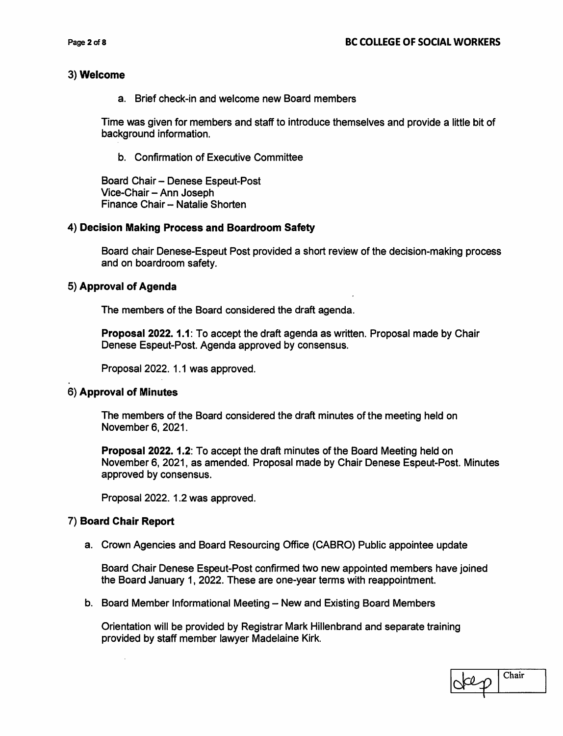#### 3) Welcome

a. Brief check-in and welcome new Board members

Time was given for members and staff to introduce themselves and provide a little bit of background information.

b. Confirmation of Executive Committee

Board Chair - Denese Espeut-Post Vice-Chair - Ann Joseph Finance Chair -- Natalie Shorten

#### 4) Decision Making Process and Boardroom Safety

Board chair Denese-Espeut Post provided a short review of the decision-making process and on boardroom safety.

#### 5) Approval of Agenda

The members of the Board considered the draft agenda.

Proposal 2022. 1.1: To accept the draft agenda as written. Proposal made by Chair Denese Espeut-Post. Agenda approved by consensus.

Proposal 2022. 1.1 was approved.

#### 6) Approval of Minutes

The members of the Board considered the draft minutes of the meeting held on November 6, 2021.

**Proposal 2022. 1.2:** To accept the draft minutes of the Board Meeting held on November 6, 2021, as amended. Proposal made by Chair Denese Espeut-Post. Minutes approved by consensus.

Proposal 2022. 1.2 was approved.

#### 7) Board Chair Report

a. Crown Agencies and Board Resourcing Office (CABRO) Public appointee update

Board Chair Denese Espeut-Post confirmed two new appointed members have joined the Board January 1, 2022. These are one-year terms with reappointment.

b. Board Member Informational Meeting - New and Existing Board Members

Orientation will be provided by Registrar Mark Hillenbrand and separate training provided by staff member lawyer Madelaine Kirk.

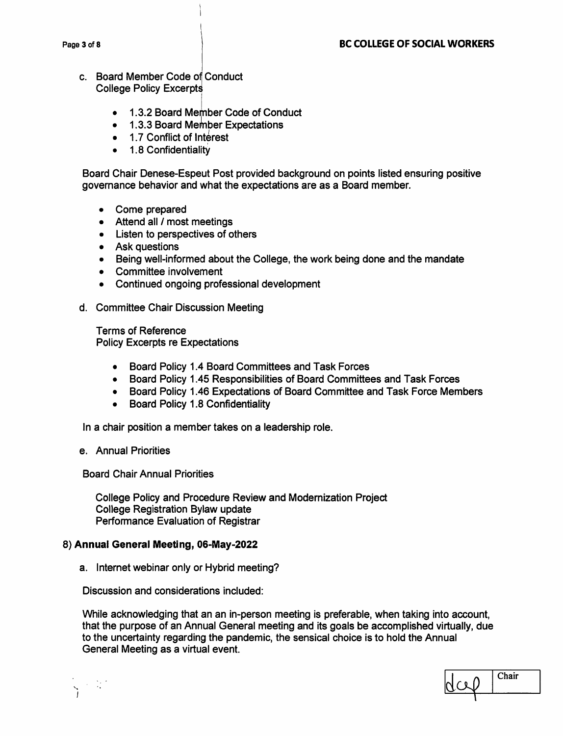- c. Board Member Code of Conduct **College Policy Excerpts** 
	- 1.3.2 Board Member Code of Conduct
	- $\bullet$ 1.3.3 Board Member Expectations
	- 1.7 Conflict of Interest
	- 1.8 Confidentiality  $\bullet$

Board Chair Denese-Espeut Post provided background on points listed ensuring positive governance behavior and what the expectations are as a Board member.

- Come prepared
- Attend all / most meetings
- Listen to perspectives of others
- Ask questions
- Being well-informed about the College, the work being done and the mandate
- Committee involvement
- Continued ongoing professional development
- d. Committee Chair Discussion Meeting

**Terms of Reference Policy Excerpts re Expectations** 

- Board Policy 1.4 Board Committees and Task Forces
- Board Policy 1.45 Responsibilities of Board Committees and Task Forces
- Board Policy 1.46 Expectations of Board Committee and Task Force Members
- Board Policy 1.8 Confidentiality

In a chair position a member takes on a leadership role.

e. Annual Priorities

**Board Chair Annual Priorities** 

College Policy and Procedure Review and Modernization Project **College Registration Bylaw update** Performance Evaluation of Registrar

#### 8) Annual General Meeting, 06-May-2022

a. Internet webinar only or Hybrid meeting?

Discussion and considerations included:

While acknowledging that an an in-person meeting is preferable, when taking into account, that the purpose of an Annual General meeting and its goals be accomplished virtually, due to the uncertainty regarding the pandemic, the sensical choice is to hold the Annual General Meeting as a virtual event.



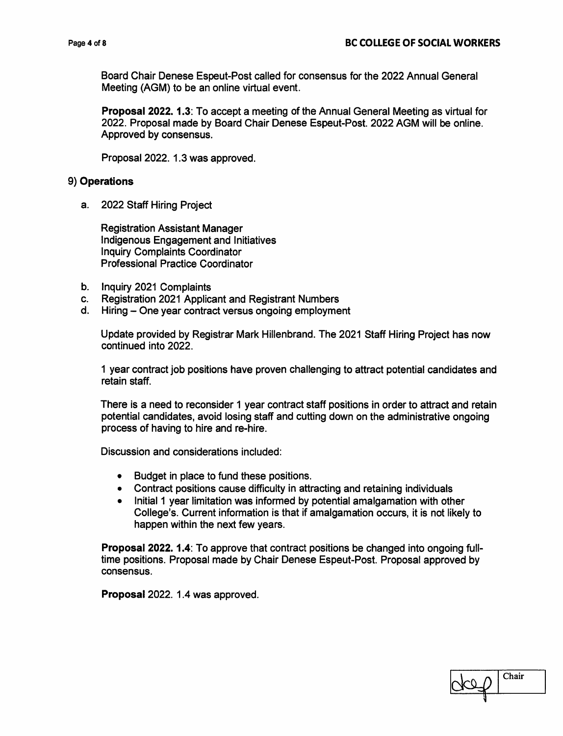Board Chair Denese Espeut-Post called for consensus for the 2022 Annual General Meeting (AGM) to be an online virtual event.

**Proposal 2022. 1.3: To accept a meeting of the Annual General Meeting as virtual for** 2022. Proposal made by Board Chair Denese Espeut-Post. 2022 AGM will be online. Approved by consensus.

Proposal 2022, 1.3 was approved.

#### 9) Operations

a. 2022 Staff Hiring Project

**Registration Assistant Manager** Indigenous Engagement and Initiatives **Inquiry Complaints Coordinator Professional Practice Coordinator** 

- b. Inquiry 2021 Complaints
- C. **Registration 2021 Applicant and Registrant Numbers**
- d. Hiring One year contract versus ongoing employment

Update provided by Registrar Mark Hillenbrand. The 2021 Staff Hiring Project has now continued into 2022.

1 year contract job positions have proven challenging to attract potential candidates and retain staff.

There is a need to reconsider 1 year contract staff positions in order to attract and retain potential candidates, avoid losing staff and cutting down on the administrative ongoing process of having to hire and re-hire.

Discussion and considerations included:

- $\bullet$ Budget in place to fund these positions.
- Contract positions cause difficulty in attracting and retaining individuals
- Initial 1 year limitation was informed by potential amalgamation with other College's. Current information is that if amalgamation occurs, it is not likely to happen within the next few years.

Proposal 2022. 1.4: To approve that contract positions be changed into ongoing fulltime positions. Proposal made by Chair Denese Espeut-Post. Proposal approved by consensus.

Proposal 2022. 1.4 was approved.

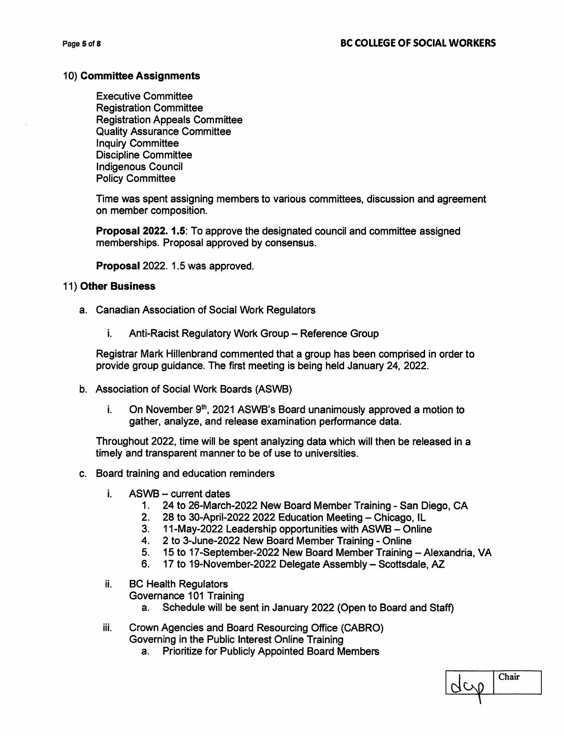#### 10) Committee Assignments

**Executive Committee Registration Committee Registration Appeals Committee Quality Assurance Committee Inquiry Committee Discipline Committee Indigenous Council Policy Committee** 

Time was spent assigning members to various committees, discussion and agreement on member composition.

**Proposal 2022. 1.5: To approve the designated council and committee assigned** memberships. Proposal approved by consensus.

Proposal 2022. 1.5 was approved.

#### 11) Other Business

- a. Canadian Association of Social Work Regulators
	- i. Anti-Racist Regulatory Work Group - Reference Group

Registrar Mark Hillenbrand commented that a group has been comprised in order to provide group guidance. The first meeting is being held January 24, 2022.

- b. Association of Social Work Boards (ASWB)
	- On November 9<sup>th</sup>, 2021 ASWB's Board unanimously approved a motion to i. gather, analyze, and release examination performance data.

Throughout 2022, time will be spent analyzing data which will then be released in a timely and transparent manner to be of use to universities.

- c. Board training and education reminders
	- i. ASWB - current dates
		- 1. 24 to 26-March-2022 New Board Member Training San Diego, CA
		- 28 to 30-April-2022 2022 Education Meeting Chicago, IL  $2.$
		- 11-May-2022 Leadership opportunities with ASWB Online  $3.$
		- $4.$ 2 to 3-June-2022 New Board Member Training - Online
		- $5<sub>1</sub>$ 15 to 17-September-2022 New Board Member Training - Alexandria, VA
		- 6. 17 to 19-November-2022 Delegate Assembly - Scottsdale, AZ
	- ii. **BC Health Regulators** 
		- Governance 101 Training
			- Schedule will be sent in January 2022 (Open to Board and Staff) a.
	- iii. Crown Agencies and Board Resourcing Office (CABRO) Governing in the Public Interest Online Training
		- **Prioritize for Publicly Appointed Board Members**  $a^{\dagger}$

| ıair |
|------|
|      |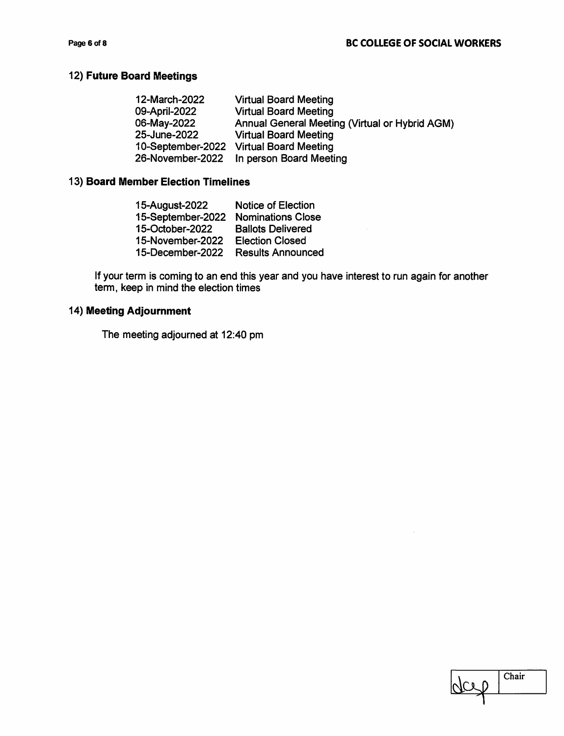## 12) Future Board Meetings

| 12-March-2022     | <b>Virtual Board Meeting</b>                   |
|-------------------|------------------------------------------------|
| 09-April-2022     | <b>Virtual Board Meeting</b>                   |
| 06-May-2022       | Annual General Meeting (Virtual or Hybrid AGM) |
| 25-June-2022      | <b>Virtual Board Meeting</b>                   |
| 10-September-2022 | <b>Virtual Board Meeting</b>                   |
| 26-November-2022  | In person Board Meeting                        |

## 13) Board Member Election Timelines

| 15-August-2022    | <b>Notice of Election</b> |
|-------------------|---------------------------|
| 15-September-2022 | <b>Nominations Close</b>  |
| 15-October-2022   | <b>Ballots Delivered</b>  |
| 15-November-2022  | <b>Election Closed</b>    |
| 15-December-2022  | <b>Results Announced</b>  |

If your term is coming to an end this year and you have interest to run again for another term, keep in mind the election times

## 14) Meeting Adjournment

The meeting adjourned at 12:40 pm

| iair |
|------|
|      |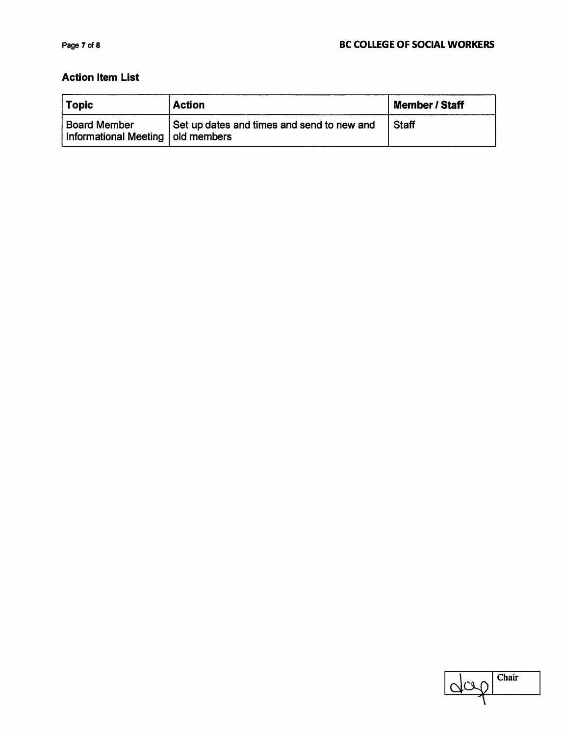## **Action Item List**

| <b>Topic</b>                                               | <b>Action</b>                              | <b>Member / Staff</b> |
|------------------------------------------------------------|--------------------------------------------|-----------------------|
| <b>Board Member</b><br>Informational Meeting   old members | Set up dates and times and send to new and | <b>Staff</b>          |